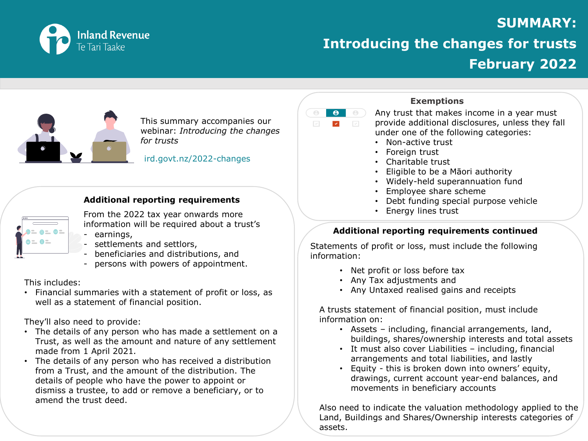

### **SUMMARY:**

# **Introducing the changes for trusts February 2022**



This summary accompanies our webinar: *Introducing the changes for trusts* 

#### ird.govt.nz/2022-changes

### **Additional reporting requirements**



From the 2022 tax year onwards more information will be required about a trust's

- earnings,
- settlements and settlors,
- beneficiaries and distributions, and
- persons with powers of appointment.

### This includes:

• Financial summaries with a statement of profit or loss, as well as a statement of financial position.

They'll also need to provide:

- The details of any person who has made a settlement on a Trust, as well as the amount and nature of any settlement made from 1 April 2021*.*
- The details of any person who has received a distribution from a Trust, and the amount of the distribution. The details of people who have the power to appoint or dismiss a trustee, to add or remove a beneficiary, or to amend the trust deed.

#### $\overline{e}$  $\Theta$ )  $\Theta$  $\mathcal{L}_{\mathcal{A}}$  $\sim$

### **Exemptions**

Any trust that makes income in a year must provide additional disclosures, unless they fall under one of the following categories:

- Non-active trust
- Foreign trust
- Charitable trust
- Eligible to be a Māori authority
- Widely-held superannuation fund
- Employee share scheme
- Debt funding special purpose vehicle
- Energy lines trust

### **Additional reporting requirements continued**

Statements of profit or loss, must include the following information:

- Net profit or loss before tax
- Any Tax adjustments and
- Any Untaxed realised gains and receipts

A trusts statement of financial position, must include information on:

- Assets including, financial arrangements, land, buildings, shares/ownership interests and total assets
- It must also cover Liabilities including, financial arrangements and total liabilities, and lastly
- Equity this is broken down into owners' equity, drawings, current account year-end balances, and movements in beneficiary accounts

Also need to indicate the valuation methodology applied to the Land, Buildings and Shares/Ownership interests categories of assets.